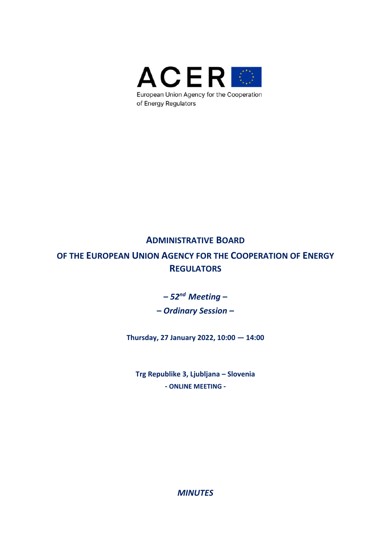

# **ADMINISTRATIVE BOARD**

**OF THE EUROPEAN UNION AGENCY FOR THE COOPERATION OF ENERGY REGULATORS**

**–** *52nd Meeting* **–** 

**–** *Ordinary Session* **–** 

**Thursday, 27 January 2022, 10:00 — 14:00** 

**Trg Republike 3, Ljubljana – Slovenia ‐ ONLINE MEETING ‐** 

*MINUTES*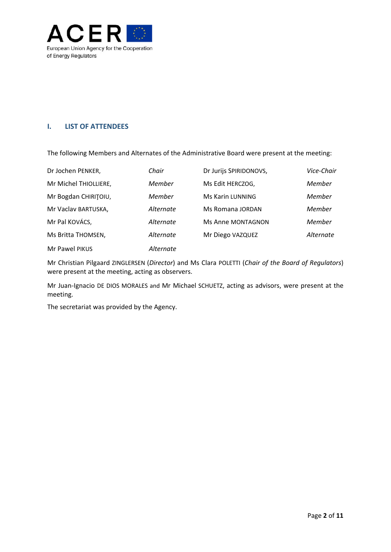

### **I. LIST OF ATTENDEES**

The following Members and Alternates of the Administrative Board were present at the meeting:

| Dr Jochen PENKER,     | Chair     | Dr Jurijs SPIRIDONOVS, | Vice-Chair |
|-----------------------|-----------|------------------------|------------|
| Mr Michel THIOLLIERE, | Member    | Ms Edit HERCZOG,       | Member     |
| Mr Bogdan CHIRITOIU,  | Member    | Ms Karin LUNNING       | Member     |
| Mr Vaclav BARTUSKA,   | Alternate | Ms Romana JORDAN       | Member     |
| Mr Pal KOVÁCS,        | Alternate | Ms Anne MONTAGNON      | Member     |
| Ms Britta THOMSEN,    | Alternate | Mr Diego VAZQUEZ       | Alternate  |
| Mr Pawel PIKUS        | Alternate |                        |            |

Mr Christian Pilgaard ZINGLERSEN (*Director*) and Ms Clara POLETTI (*Chair of the Board of Regulators*) were present at the meeting, acting as observers.

Mr Juan‐Ignacio DE DIOS MORALES and Mr Michael SCHUETZ, acting as advisors, were present at the meeting.

The secretariat was provided by the Agency.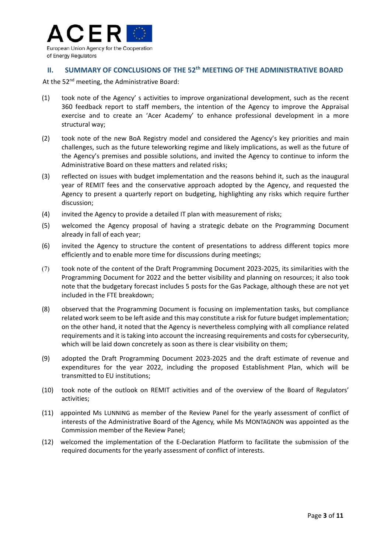

### **II. SUMMARY OF CONCLUSIONS OF THE 52th MEETING OF THE ADMINISTRATIVE BOARD**

At the 52<sup>nd</sup> meeting, the Administrative Board:

- (1) took note of the Agency' s activities to improve organizational development, such as the recent 360 feedback report to staff members, the intention of the Agency to improve the Appraisal exercise and to create an 'Acer Academy' to enhance professional development in a more structural way;
- (2) took note of the new BoA Registry model and considered the Agency's key priorities and main challenges, such as the future teleworking regime and likely implications, as well as the future of the Agency's premises and possible solutions, and invited the Agency to continue to inform the Administrative Board on these matters and related risks;
- (3) reflected on issues with budget implementation and the reasons behind it, such as the inaugural year of REMIT fees and the conservative approach adopted by the Agency, and requested the Agency to present a quarterly report on budgeting, highlighting any risks which require further discussion;
- (4) invited the Agency to provide a detailed IT plan with measurement of risks;
- (5) welcomed the Agency proposal of having a strategic debate on the Programming Document already in fall of each year;
- (6) invited the Agency to structure the content of presentations to address different topics more efficiently and to enable more time for discussions during meetings;
- (7) took note of the content of the Draft Programming Document 2023‐2025, its similarities with the Programming Document for 2022 and the better visibility and planning on resources; it also took note that the budgetary forecast includes 5 posts for the Gas Package, although these are not yet included in the FTE breakdown;
- (8) observed that the Programming Document is focusing on implementation tasks, but compliance related work seem to be left aside and this may constitute a risk for future budget implementation; on the other hand, it noted that the Agency is nevertheless complying with all compliance related requirements and it is taking into account the increasing requirements and costs for cybersecurity, which will be laid down concretely as soon as there is clear visibility on them;
- (9) adopted the Draft Programming Document 2023‐2025 and the draft estimate of revenue and expenditures for the year 2022, including the proposed Establishment Plan, which will be transmitted to EU institutions;
- (10) took note of the outlook on REMIT activities and of the overview of the Board of Regulators' activities;
- (11) appointed Ms LUNNING as member of the Review Panel for the yearly assessment of conflict of interests of the Administrative Board of the Agency, while Ms MONTAGNON was appointed as the Commission member of the Review Panel;
- (12) welcomed the implementation of the E‐Declaration Platform to facilitate the submission of the required documents for the yearly assessment of conflict of interests.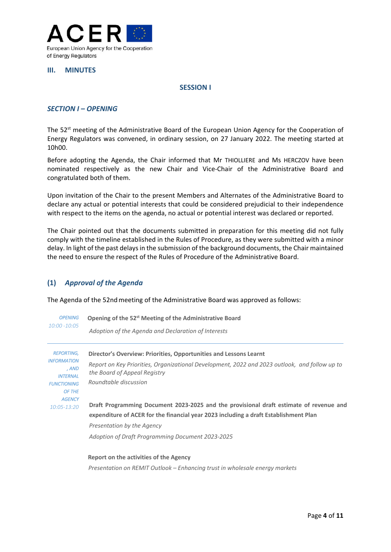

#### **III. MINUTES**

#### **SESSION I**

#### *SECTION I – OPENING*

The 52<sup>st</sup> meeting of the Administrative Board of the European Union Agency for the Cooperation of Energy Regulators was convened, in ordinary session, on 27 January 2022. The meeting started at 10h00.

Before adopting the Agenda, the Chair informed that Mr THIOLLIERE and Ms HERCZOV have been nominated respectively as the new Chair and Vice-Chair of the Administrative Board and congratulated both of them.

Upon invitation of the Chair to the present Members and Alternates of the Administrative Board to declare any actual or potential interests that could be considered prejudicial to their independence with respect to the items on the agenda, no actual or potential interest was declared or reported.

The Chair pointed out that the documents submitted in preparation for this meeting did not fully comply with the timeline established in the Rules of Procedure, as they were submitted with a minor delay. In light of the past delays in the submission of the background documents, the Chair maintained the need to ensure the respect of the Rules of Procedure of the Administrative Board.

#### **(1)** *Approval of the Agenda*

The Agenda of the 52nd meeting of the Administrative Board was approved as follows:

| <b>OPENING</b>                                 | Opening of the 52 <sup>st</sup> Meeting of the Administrative Board                                                           |  |  |
|------------------------------------------------|-------------------------------------------------------------------------------------------------------------------------------|--|--|
| $10:00 - 10:05$                                | Adoption of the Agenda and Declaration of Interests                                                                           |  |  |
| <b>REPORTING,</b>                              | Director's Overview: Priorities, Opportunities and Lessons Learnt                                                             |  |  |
| <b>INFORMATION</b><br>, AND<br><b>INTERNAL</b> | Report on Key Priorities, Organizational Development, 2022 and 2023 outlook, and follow up to<br>the Board of Appeal Registry |  |  |
| <b>FUNCTIONING</b>                             | Roundtable discussion                                                                                                         |  |  |
| OF THE<br><b>AGENCY</b>                        |                                                                                                                               |  |  |
| $10:05 - 13:20$                                | Draft Programming Document 2023-2025 and the provisional draft estimate of revenue and                                        |  |  |
|                                                | expenditure of ACER for the financial year 2023 including a draft Establishment Plan                                          |  |  |
|                                                | Presentation by the Agency                                                                                                    |  |  |
|                                                | Adoption of Draft Programming Document 2023-2025                                                                              |  |  |
|                                                | Report on the activities of the Agency                                                                                        |  |  |

 *Presentation on REMIT Outlook – Enhancing trust in wholesale energy markets*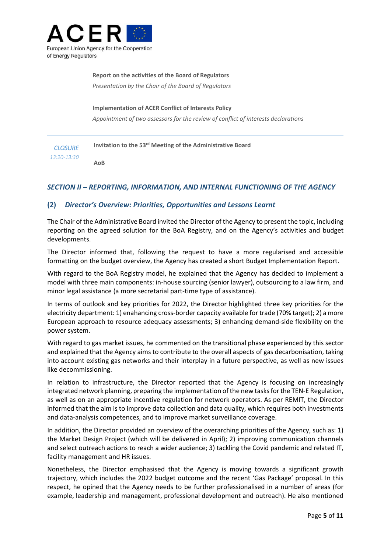

**Report on the activities of the Board of Regulators**  *Presentation by the Chair of the Board of Regulators* 

**Implementation of ACER Conflict of Interests Policy**  *Appointment of two assessors for the review of conflict of interests declarations*

*CLOSURE 13:20‐13:30*  **Invitation to the 53rd Meeting of the Administrative Board AoB** 

### *SECTION II – REPORTING, INFORMATION, AND INTERNAL FUNCTIONING OF THE AGENCY*

### **(2)** *Director's Overview: Priorities, Opportunities and Lessons Learnt*

The Chair of the Administrative Board invited the Director of the Agency to present the topic, including reporting on the agreed solution for the BoA Registry, and on the Agency's activities and budget developments.

The Director informed that, following the request to have a more regularised and accessible formatting on the budget overview, the Agency has created a short Budget Implementation Report.

With regard to the BoA Registry model, he explained that the Agency has decided to implement a model with three main components: in‐house sourcing (senior lawyer), outsourcing to a law firm, and minor legal assistance (a more secretarial part‐time type of assistance).

In terms of outlook and key priorities for 2022, the Director highlighted three key priorities for the electricity department: 1) enahancing cross‐border capacity available for trade (70% target); 2) a more European approach to resource adequacy assessments; 3) enhancing demand‐side flexibility on the power system.

With regard to gas market issues, he commented on the transitional phase experienced by this sector and explained that the Agency aims to contribute to the overall aspects of gas decarbonisation, taking into account existing gas networks and their interplay in a future perspective, as well as new issues like decommissioning.

In relation to infrastructure, the Director reported that the Agency is focusing on increasingly integrated network planning, preparing the implementation of the new tasks for the TEN‐E Regulation, as well as on an appropriate incentive regulation for network operators. As per REMIT, the Director informed that the aim is to improve data collection and data quality, which requires both investments and data‐analysis competences, and to improve market surveillance coverage.

In addition, the Director provided an overview of the overarching priorities of the Agency, such as: 1) the Market Design Project (which will be delivered in April); 2) improving communication channels and select outreach actions to reach a wider audience; 3) tackling the Covid pandemic and related IT, facility management and HR issues.

Nonetheless, the Director emphasised that the Agency is moving towards a significant growth trajectory, which includes the 2022 budget outcome and the recent 'Gas Package' proposal. In this respect, he opined that the Agency needs to be further professionalised in a number of areas (for example, leadership and management, professional development and outreach). He also mentioned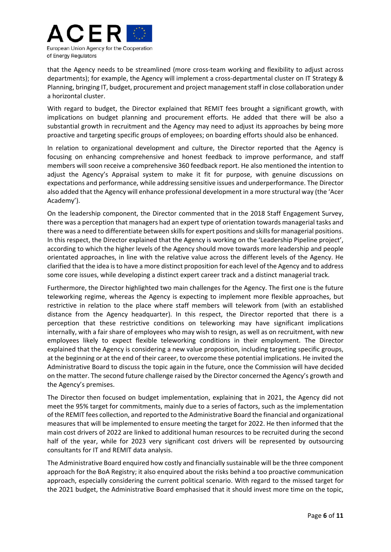

that the Agency needs to be streamlined (more cross‐team working and flexibility to adjust across departments); for example, the Agency will implement a cross-departmental cluster on IT Strategy & Planning, bringing IT, budget, procurement and project management staff in close collaboration under a horizontal cluster.

With regard to budget, the Director explained that REMIT fees brought a significant growth, with implications on budget planning and procurement efforts. He added that there will be also a substantial growth in recruitment and the Agency may need to adjust its approaches by being more proactive and targeting specific groups of employees; on boarding efforts should also be enhanced.

In relation to organizational development and culture, the Director reported that the Agency is focusing on enhancing comprehensive and honest feedback to improve performance, and staff members will soon receive a comprehensive 360 feedback report. He also mentioned the intention to adjust the Agency's Appraisal system to make it fit for purpose, with genuine discussions on expectations and performance, while addressing sensitive issues and underperformance. The Director also added that the Agency will enhance professional development in a more structural way (the 'Acer Academy').

On the leadership component, the Director commented that in the 2018 Staff Engagement Survey, there was a perception that managers had an expert type of orientation towards managerial tasks and there was a need to differentiate between skills for expert positions and skills for managerial positions. In this respect, the Director explained that the Agency is working on the 'Leadership Pipeline project', according to which the higher levels of the Agency should move towards more leadership and people orientated approaches, in line with the relative value across the different levels of the Agency. He clarified that the idea is to have a more distinct proposition for each level of the Agency and to address some core issues, while developing a distinct expert career track and a distinct managerial track.

Furthermore, the Director highlighted two main challenges for the Agency. The first one is the future teleworking regime, whereas the Agency is expecting to implement more flexible approaches, but restrictive in relation to the place where staff members will telework from (with an established distance from the Agency headquarter). In this respect, the Director reported that there is a perception that these restrictive conditions on teleworking may have significant implications internally, with a fair share of employees who may wish to resign, as well as on recruitment, with new employees likely to expect flexible teleworking conditions in their employment. The Director explained that the Agency is considering a new value proposition, including targeting specific groups, at the beginning or at the end of their career, to overcome these potential implications. He invited the Administrative Board to discuss the topic again in the future, once the Commission will have decided on the matter. The second future challenge raised by the Director concerned the Agency's growth and the Agency's premises.

The Director then focused on budget implementation, explaining that in 2021, the Agency did not meet the 95% target for commitments, mainly due to a series of factors, such as the implementation of the REMIT fees collection, and reported to the Administrative Board the financial and organizational measures that will be implemented to ensure meeting the target for 2022. He then informed that the main cost drivers of 2022 are linked to additional human resources to be recruited during the second half of the year, while for 2023 very significant cost drivers will be represented by outsourcing consultants for IT and REMIT data analysis.

The Administrative Board enquired how costly and financially sustainable will be the three component approach for the BoA Registry; it also enquired about the risks behind a too proactive communication approach, especially considering the current political scenario. With regard to the missed target for the 2021 budget, the Administrative Board emphasised that it should invest more time on the topic,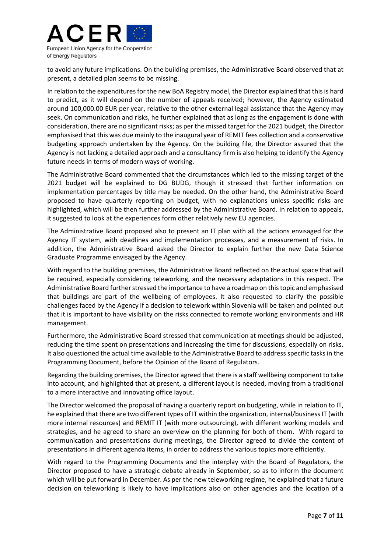

to avoid any future implications. On the building premises, the Administrative Board observed that at present, a detailed plan seems to be missing.

In relation to the expenditures for the new BoA Registry model, the Director explained that this is hard to predict, as it will depend on the number of appeals received; however, the Agency estimated around 100,000.00 EUR per year, relative to the other external legal assistance that the Agency may seek. On communication and risks, he further explained that as long as the engagement is done with consideration, there are no significant risks; as per the missed target for the 2021 budget, the Director emphasised that this was due mainly to the inaugural year of REMIT fees collection and a conservative budgeting approach undertaken by the Agency. On the building file, the Director assured that the Agency is not lacking a detailed approach and a consultancy firm is also helping to identify the Agency future needs in terms of modern ways of working.

The Administrative Board commented that the circumstances which led to the missing target of the 2021 budget will be explained to DG BUDG, though it stressed that further information on implementation percentages by title may be needed. On the other hand, the Administrative Board proposed to have quarterly reporting on budget, with no explanations unless specific risks are highlighted, which will be then further addressed by the Administrative Board. In relation to appeals, it suggested to look at the experiences form other relatively new EU agencies.

The Administrative Board proposed also to present an IT plan with all the actions envisaged for the Agency IT system, with deadlines and implementation processes, and a measurement of risks. In addition, the Administrative Board asked the Director to explain further the new Data Science Graduate Programme envisaged by the Agency.

With regard to the building premises, the Administrative Board reflected on the actual space that will be required, especially considering teleworking, and the necessary adaptations in this respect. The Administrative Board further stressed the importance to have a roadmap on this topic and emphasised that buildings are part of the wellbeing of employees. It also requested to clarify the possible challenges faced by the Agency if a decision to telework within Slovenia will be taken and pointed out that it is important to have visibility on the risks connected to remote working environments and HR management.

Furthermore, the Administrative Board stressed that communication at meetings should be adjusted, reducing the time spent on presentations and increasing the time for discussions, especially on risks. It also questioned the actual time available to the Administrative Board to address specific tasks in the Programming Document, before the Opinion of the Board of Regulators.

Regarding the building premises, the Director agreed that there is a staff wellbeing component to take into account, and highlighted that at present, a different layout is needed, moving from a traditional to a more interactive and innovating office layout.

The Director welcomed the proposal of having a quarterly report on budgeting, while in relation to IT, he explained that there are two different types of IT within the organization, internal/business IT (with more internal resources) and REMIT IT (with more outsourcing), with different working models and strategies, and he agreed to share an overview on the planning for both of them. With regard to communication and presentations during meetings, the Director agreed to divide the content of presentations in different agenda items, in order to address the various topics more efficiently.

With regard to the Programming Documents and the interplay with the Board of Regulators, the Director proposed to have a strategic debate already in September, so as to inform the document which will be put forward in December. As per the new teleworking regime, he explained that a future decision on teleworking is likely to have implications also on other agencies and the location of a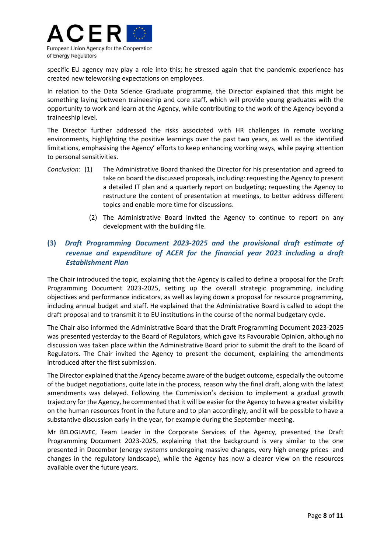

specific EU agency may play a role into this; he stressed again that the pandemic experience has created new teleworking expectations on employees.

In relation to the Data Science Graduate programme, the Director explained that this might be something laying between traineeship and core staff, which will provide young graduates with the opportunity to work and learn at the Agency, while contributing to the work of the Agency beyond a traineeship level.

The Director further addressed the risks associated with HR challenges in remote working environments, highlighting the positive learnings over the past two years, as well as the identified limitations, emphasising the Agency' efforts to keep enhancing working ways, while paying attention to personal sensitivities.

- *Conclusion*: (1) The Administrative Board thanked the Director for his presentation and agreed to take on board the discussed proposals, including: requesting the Agency to present a detailed IT plan and a quarterly report on budgeting; requesting the Agency to restructure the content of presentation at meetings, to better address different topics and enable more time for discussions.
	- (2) The Administrative Board invited the Agency to continue to report on any development with the building file.

## **(3)** *Draft Programming Document 2023‐2025 and the provisional draft estimate of revenue and expenditure of ACER for the financial year 2023 including a draft Establishment Plan*

The Chair introduced the topic, explaining that the Agency is called to define a proposal for the Draft Programming Document 2023‐2025, setting up the overall strategic programming, including objectives and performance indicators, as well as laying down a proposal for resource programming, including annual budget and staff. He explained that the Administrative Board is called to adopt the draft proposal and to transmit it to EU institutions in the course of the normal budgetary cycle.

The Chair also informed the Administrative Board that the Draft Programming Document 2023‐2025 was presented yesterday to the Board of Regulators, which gave its Favourable Opinion, although no discussion was taken place within the Administrative Board prior to submit the draft to the Board of Regulators. The Chair invited the Agency to present the document, explaining the amendments introduced after the first submission.

The Director explained that the Agency became aware of the budget outcome, especially the outcome of the budget negotiations, quite late in the process, reason why the final draft, along with the latest amendments was delayed. Following the Commission's decision to implement a gradual growth trajectory for the Agency, he commented that it will be easier for the Agency to have a greater visibility on the human resources front in the future and to plan accordingly, and it will be possible to have a substantive discussion early in the year, for example during the September meeting.

Mr BELOGLAVEC, Team Leader in the Corporate Services of the Agency, presented the Draft Programming Document 2023‐2025, explaining that the background is very similar to the one presented in December (energy systems undergoing massive changes, very high energy prices and changes in the regulatory landscape), while the Agency has now a clearer view on the resources available over the future years.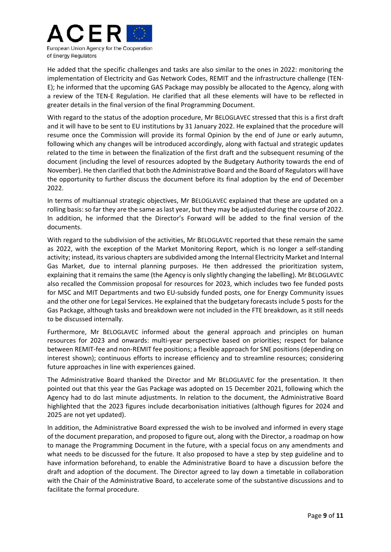

He added that the specific challenges and tasks are also similar to the ones in 2022: monitoring the implementation of Electricity and Gas Network Codes, REMIT and the infrastructure challenge (TEN‐ E); he informed that the upcoming GAS Package may possibly be allocated to the Agency, along with a review of the TEN‐E Regulation. He clarified that all these elements will have to be reflected in greater details in the final version of the final Programming Document.

With regard to the status of the adoption procedure, Mr BELOGLAVEC stressed that this is a first draft and it will have to be sent to EU institutions by 31 January 2022. He explained that the procedure will resume once the Commission will provide its formal Opinion by the end of June or early autumn, following which any changes will be introduced accordingly, along with factual and strategic updates related to the time in between the finalization of the first draft and the subsequent resuming of the document (including the level of resources adopted by the Budgetary Authority towards the end of November). He then clarified that both the Administrative Board and the Board of Regulators will have the opportunity to further discuss the document before its final adoption by the end of December 2022.

In terms of multiannual strategic objectives, Mr BELOGLAVEC explained that these are updated on a rolling basis: so far they are the same as last year, but they may be adjusted during the course of 2022. In addition, he informed that the Director's Forward will be added to the final version of the documents.

With regard to the subdivision of the activities, Mr BELOGLAVEC reported that these remain the same as 2022, with the exception of the Market Monitoring Report, which is no longer a self‐standing activity; instead, its various chapters are subdivided among the Internal Electricity Market and Internal Gas Market, due to internal planning purposes. He then addressed the prioritization system, explaining that it remains the same (the Agency is only slightly changing the labelling). Mr BELOGLAVEC also recalled the Commission proposal for resources for 2023, which includes two fee funded posts for MSC and MIT Departments and two EU-subsidy funded posts, one for Energy Community issues and the other one for Legal Services. He explained that the budgetary forecasts include 5 posts for the Gas Package, although tasks and breakdown were not included in the FTE breakdown, as it still needs to be discussed internally.

Furthermore, Mr BELOGLAVEC informed about the general approach and principles on human resources for 2023 and onwards: multi-year perspective based on priorities; respect for balance between REMIT-fee and non-REMIT fee positions; a flexible approach for SNE positions (depending on interest shown); continuous efforts to increase efficiency and to streamline resources; considering future approaches in line with experiences gained.

The Administrative Board thanked the Director and Mr BELOGLAVEC for the presentation. It then pointed out that this year the Gas Package was adopted on 15 December 2021, following which the Agency had to do last minute adjustments. In relation to the document, the Administrative Board highlighted that the 2023 figures include decarbonisation initiatives (although figures for 2024 and 2025 are not yet updated).

In addition, the Administrative Board expressed the wish to be involved and informed in every stage of the document preparation, and proposed to figure out, along with the Director, a roadmap on how to manage the Programming Document in the future, with a special focus on any amendments and what needs to be discussed for the future. It also proposed to have a step by step guideline and to have information beforehand, to enable the Administrative Board to have a discussion before the draft and adoption of the document. The Director agreed to lay down a timetable in collaboration with the Chair of the Administrative Board, to accelerate some of the substantive discussions and to facilitate the formal procedure.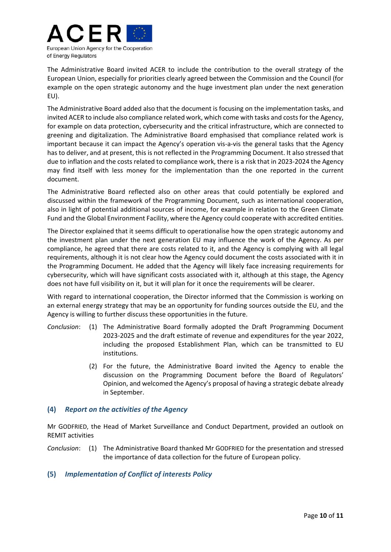

The Administrative Board invited ACER to include the contribution to the overall strategy of the European Union, especially for priorities clearly agreed between the Commission and the Council (for example on the open strategic autonomy and the huge investment plan under the next generation EU).

The Administrative Board added also that the document is focusing on the implementation tasks, and invited ACER to include also compliance related work, which come with tasks and costs for the Agency, for example on data protection, cybersecurity and the critical infrastructure, which are connected to greening and digitalization. The Administrative Board emphasised that compliance related work is important because it can impact the Agency's operation vis-a-vis the general tasks that the Agency has to deliver, and at present, this is not reflected in the Programming Document. It also stressed that due to inflation and the costs related to compliance work, there is a risk that in 2023‐2024 the Agency may find itself with less money for the implementation than the one reported in the current document.

The Administrative Board reflected also on other areas that could potentially be explored and discussed within the framework of the Programming Document, such as international cooperation, also in light of potential additional sources of income, for example in relation to the Green Climate Fund and the Global Environment Facility, where the Agency could cooperate with accredited entities.

The Director explained that it seems difficult to operationalise how the open strategic autonomy and the investment plan under the next generation EU may influence the work of the Agency. As per compliance, he agreed that there are costs related to it, and the Agency is complying with all legal requirements, although it is not clear how the Agency could document the costs associated with it in the Programming Document. He added that the Agency will likely face increasing requirements for cybersecurity, which will have significant costs associated with it, although at this stage, the Agency does not have full visibility on it, but it will plan for it once the requirements will be clearer.

With regard to international cooperation, the Director informed that the Commission is working on an external energy strategy that may be an opportunity for funding sources outside the EU, and the Agency is willing to further discuss these opportunities in the future.

- *Conclusion*: (1) The Administrative Board formally adopted the Draft Programming Document 2023‐2025 and the draft estimate of revenue and expenditures for the year 2022, including the proposed Establishment Plan, which can be transmitted to EU institutions.
	- (2) For the future, the Administrative Board invited the Agency to enable the discussion on the Programming Document before the Board of Regulators' Opinion, and welcomed the Agency's proposal of having a strategic debate already in September.

### **(4)** *Report on the activities of the Agency*

Mr GODFRIED, the Head of Market Surveillance and Conduct Department, provided an outlook on REMIT activities

*Conclusion*: (1) The Administrative Board thanked Mr GODFRIED for the presentation and stressed the importance of data collection for the future of European policy.

### **(5)** *Implementation of Conflict of interests Policy*